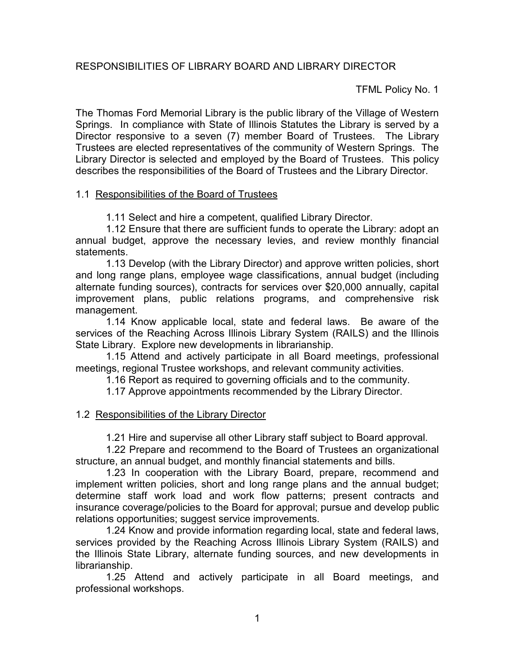TFML Policy No. 1

The Thomas Ford Memorial Library is the public library of the Village of Western Springs. In compliance with State of Illinois Statutes the Library is served by a Director responsive to a seven (7) member Board of Trustees. The Library Trustees are elected representatives of the community of Western Springs. The Library Director is selected and employed by the Board of Trustees. This policy describes the responsibilities of the Board of Trustees and the Library Director.

## 1.1 Responsibilities of the Board of Trustees

1.11 Select and hire a competent, qualified Library Director.

1.12 Ensure that there are sufficient funds to operate the Library: adopt an annual budget, approve the necessary levies, and review monthly financial statements.

1.13 Develop (with the Library Director) and approve written policies, short and long range plans, employee wage classifications, annual budget (including alternate funding sources), contracts for services over \$20,000 annually, capital improvement plans, public relations programs, and comprehensive risk management.

1.14 Know applicable local, state and federal laws. Be aware of the services of the Reaching Across Illinois Library System (RAILS) and the Illinois State Library. Explore new developments in librarianship.

1.15 Attend and actively participate in all Board meetings, professional meetings, regional Trustee workshops, and relevant community activities.

1.16 Report as required to governing officials and to the community.

1.17 Approve appointments recommended by the Library Director.

## 1.2 Responsibilities of the Library Director

1.21 Hire and supervise all other Library staff subject to Board approval.

1.22 Prepare and recommend to the Board of Trustees an organizational structure, an annual budget, and monthly financial statements and bills.

1.23 In cooperation with the Library Board, prepare, recommend and implement written policies, short and long range plans and the annual budget; determine staff work load and work flow patterns; present contracts and insurance coverage/policies to the Board for approval; pursue and develop public relations opportunities; suggest service improvements.

1.24 Know and provide information regarding local, state and federal laws, services provided by the Reaching Across Illinois Library System (RAILS) and the Illinois State Library, alternate funding sources, and new developments in librarianship.

1.25 Attend and actively participate in all Board meetings, and professional workshops.